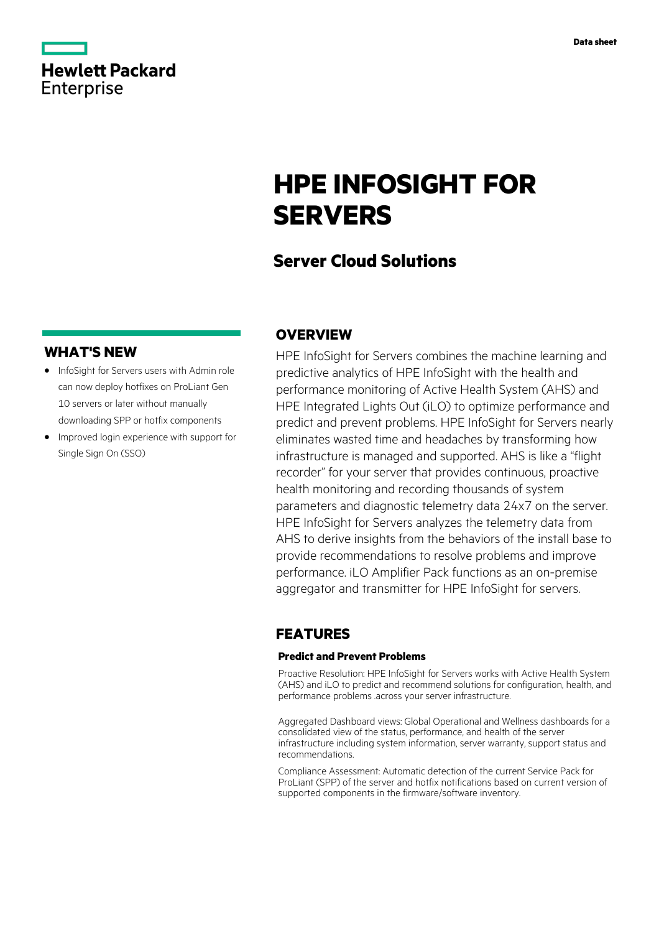|                   | <b>Hewlett Packard</b> |
|-------------------|------------------------|
| <b>Enterprise</b> |                        |

#### **Data sheet**

# **HPE INFOSIGHT FOR SERVERS**

# **Server Cloud Solutions**

### **WHAT'S NEW**

- **·** InfoSight for Servers users with Admin role can now deploy hotfixes on ProLiant Gen 10 servers or later without manually downloading SPP or hotfix components
- **·** Improved login experience with support for Single Sign On (SSO)

## **OVERVIEW**

HPE InfoSight for Servers combines the machine learning and predictive analytics of HPE InfoSight with the health and performance monitoring of Active Health System (AHS) and HPE Integrated Lights Out (iLO) to optimize performance and predict and prevent problems. HPE InfoSight for Servers nearly eliminates wasted time and headaches by transforming how infrastructure is managed and supported. AHS is like a "flight recorder" for your server that provides continuous, proactive health monitoring and recording thousands of system parameters and diagnostic telemetry data 24x7 on the server. HPE InfoSight for Servers analyzes the telemetry data from AHS to derive insights from the behaviors of the install base to provide recommendations to resolve problems and improve performance. iLO Amplifier Pack functions as an on-premise aggregator and transmitter for HPE InfoSight for servers.

## **FEATURES**

#### **Predict and Prevent Problems**

Proactive Resolution: HPE InfoSight for Servers works with Active Health System (AHS) and iLO to predict and recommend solutions for configuration, health, and performance problems .across your server infrastructure.

Aggregated Dashboard views: Global Operational and Wellness dashboards for a consolidated view of the status, performance, and health of the server infrastructure including system information, server warranty, support status and recommendations.

Compliance Assessment: Automatic detection of the current Service Pack for ProLiant (SPP) of the server and hotfix notifications based on current version of supported components in the firmware/software inventory.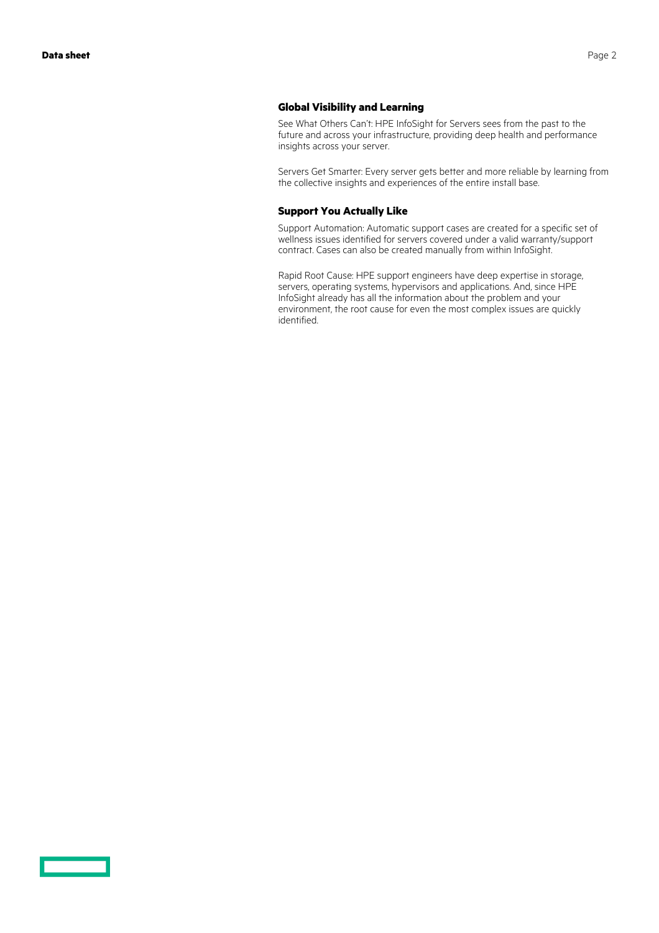#### **Global Visibility and Learning**

See What Others Can't: HPE InfoSight for Servers sees from the past to the future and across your infrastructure, providing deep health and performance insights across your server.

Servers Get Smarter: Every server gets better and more reliable by learning from the collective insights and experiences of the entire install base.

#### **Support You Actually Like**

Support Automation: Automatic support cases are created for a specific set of wellness issues identified for servers covered under a valid warranty/support contract. Cases can also be created manually from within InfoSight.

Rapid Root Cause: HPE support engineers have deep expertise in storage, servers, operating systems, hypervisors and applications. And, since HPE InfoSight already has all the information about the problem and your environment, the root cause for even the most complex issues are quickly identified.